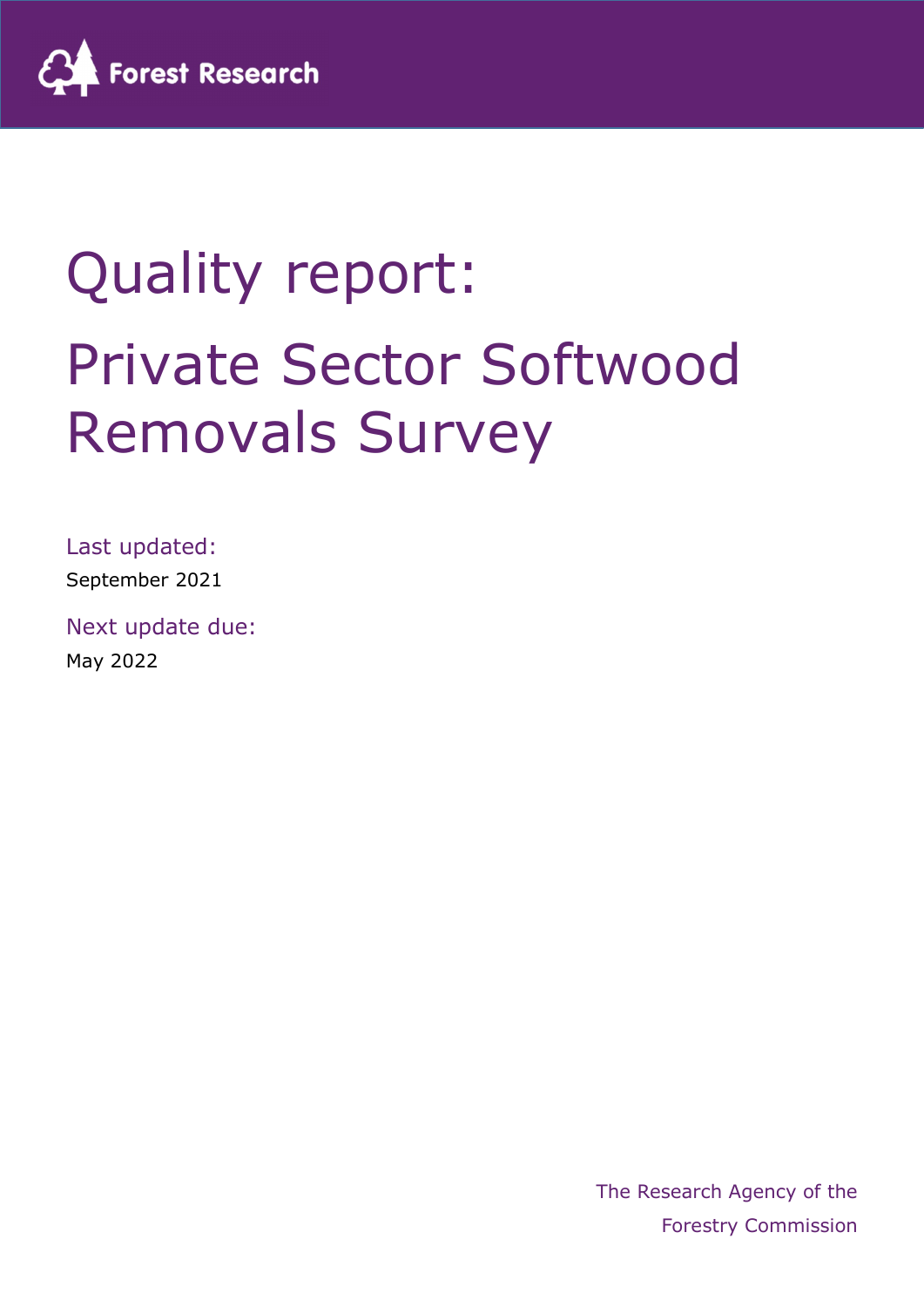

# Quality report: Private Sector Softwood Removals Survey

Last updated:

September 2021

Next update due: May 2022

> The Research Agency of the Forestry Commission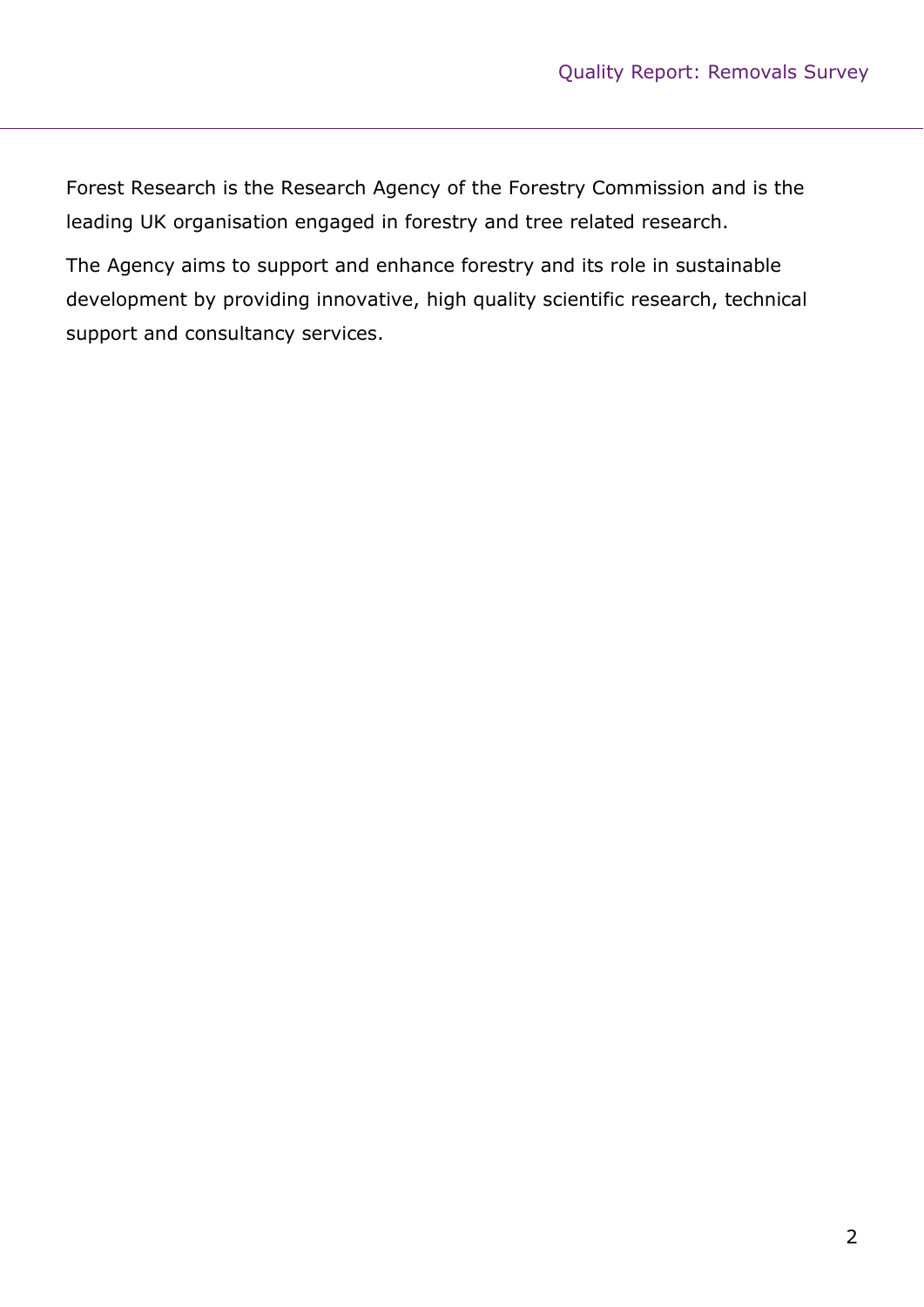Forest Research is the Research Agency of the Forestry Commission and is the leading UK organisation engaged in forestry and tree related research.

The Agency aims to support and enhance forestry and its role in sustainable development by providing innovative, high quality scientific research, technical support and consultancy services.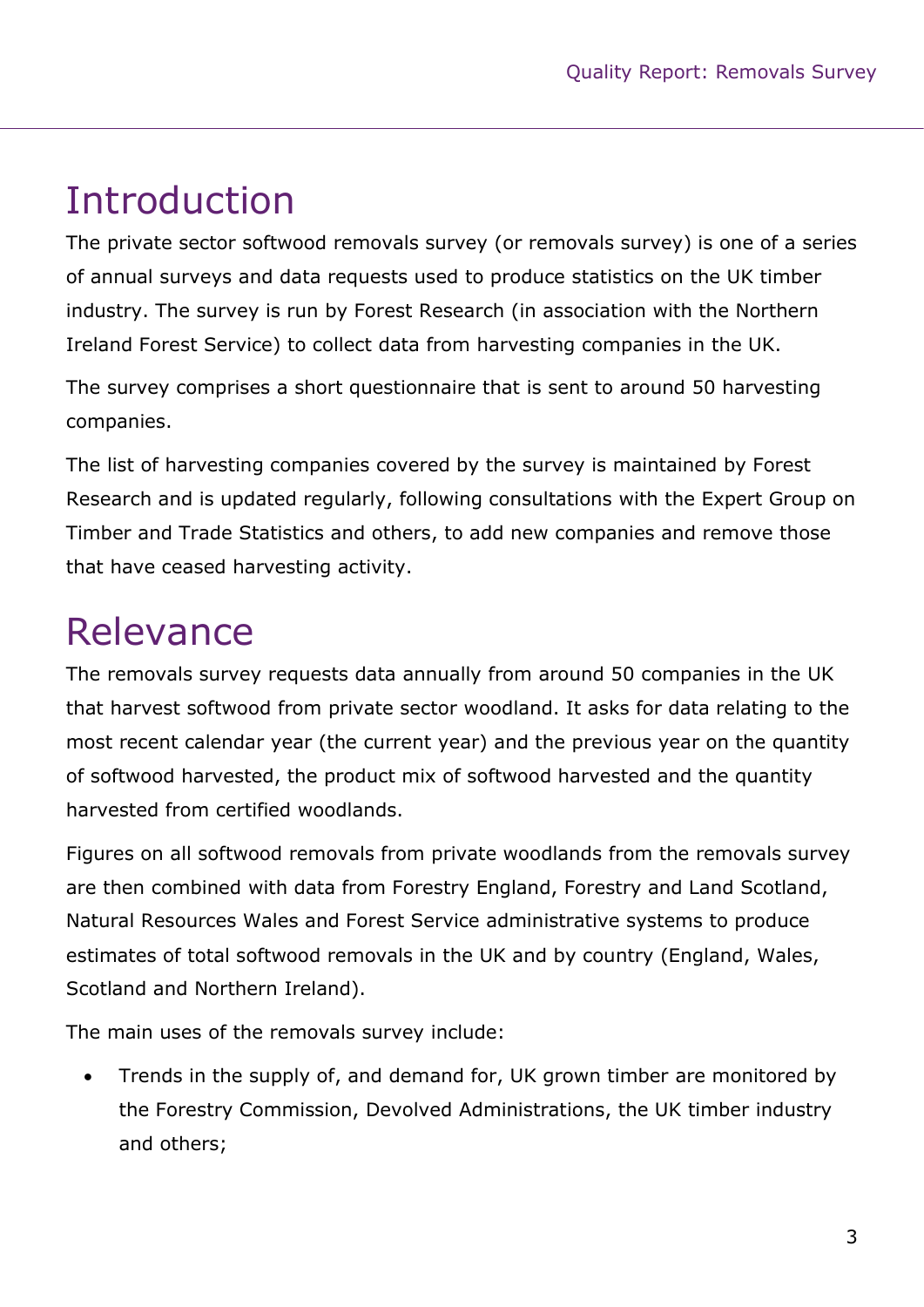# Introduction

The private sector softwood removals survey (or removals survey) is one of a series of annual surveys and data requests used to produce statistics on the UK timber industry. The survey is run by Forest Research (in association with the Northern Ireland Forest Service) to collect data from harvesting companies in the UK.

The survey comprises a short questionnaire that is sent to around 50 harvesting companies.

The list of harvesting companies covered by the survey is maintained by Forest Research and is updated regularly, following consultations with the Expert Group on Timber and Trade Statistics and others, to add new companies and remove those that have ceased harvesting activity.

# Relevance

The removals survey requests data annually from around 50 companies in the UK that harvest softwood from private sector woodland. It asks for data relating to the most recent calendar year (the current year) and the previous year on the quantity of softwood harvested, the product mix of softwood harvested and the quantity harvested from certified woodlands.

Figures on all softwood removals from private woodlands from the removals survey are then combined with data from Forestry England, Forestry and Land Scotland, Natural Resources Wales and Forest Service administrative systems to produce estimates of total softwood removals in the UK and by country (England, Wales, Scotland and Northern Ireland).

The main uses of the removals survey include:

 Trends in the supply of, and demand for, UK grown timber are monitored by the Forestry Commission, Devolved Administrations, the UK timber industry and others;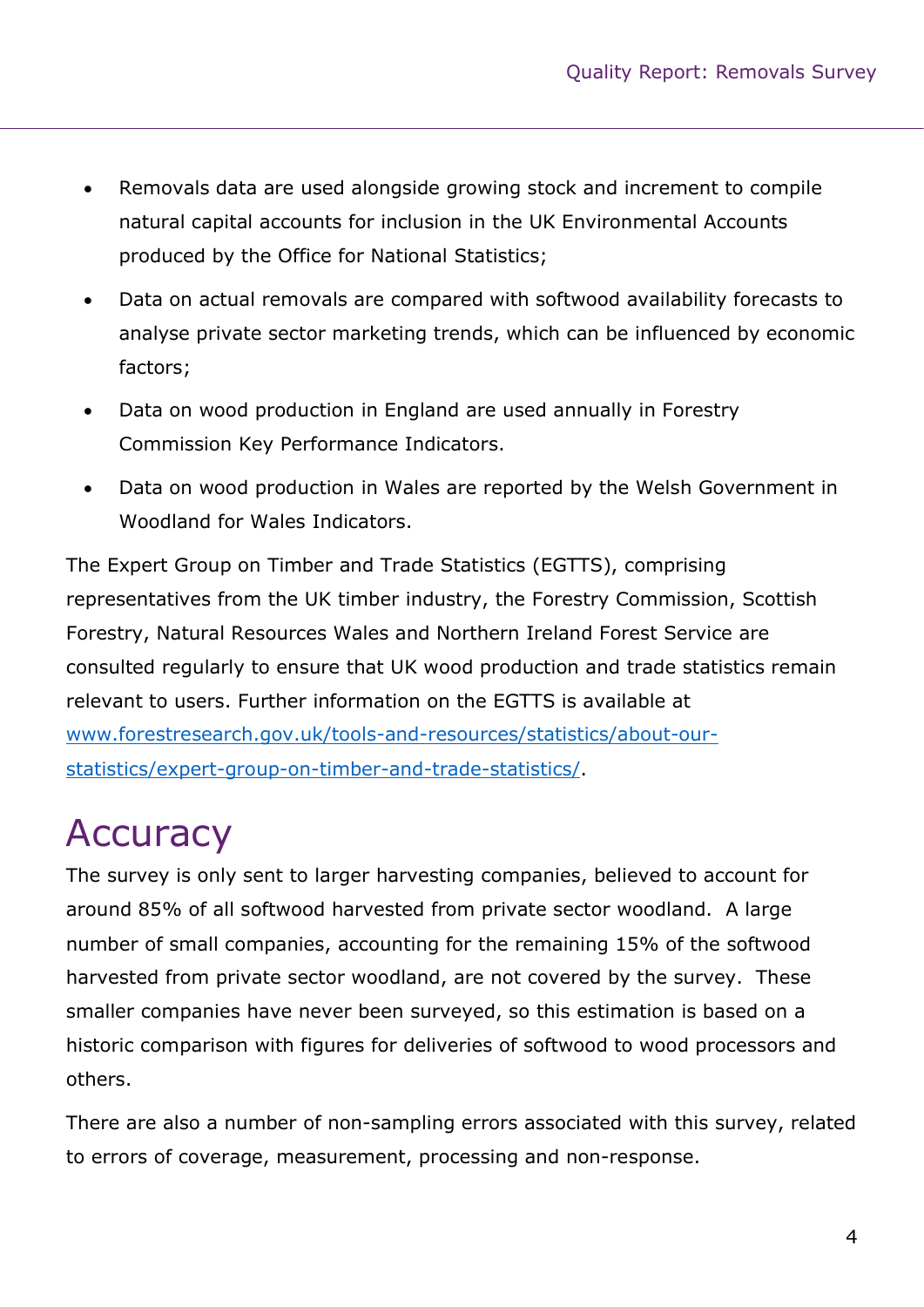- Removals data are used alongside growing stock and increment to compile natural capital accounts for inclusion in the UK Environmental Accounts produced by the Office for National Statistics;
- Data on actual removals are compared with softwood availability forecasts to analyse private sector marketing trends, which can be influenced by economic factors;
- Data on wood production in England are used annually in Forestry Commission Key Performance Indicators.
- Data on wood production in Wales are reported by the Welsh Government in Woodland for Wales Indicators.

The Expert Group on Timber and Trade Statistics (EGTTS), comprising representatives from the UK timber industry, the Forestry Commission, Scottish Forestry, Natural Resources Wales and Northern Ireland Forest Service are consulted regularly to ensure that UK wood production and trade statistics remain relevant to users. Further information on the EGTTS is available at www.forestresearch.gov.uk/tools-and-resources/statistics/about-ourstatistics/expert-group-on-timber-and-trade-statistics/.

# **Accuracy**

The survey is only sent to larger harvesting companies, believed to account for around 85% of all softwood harvested from private sector woodland. A large number of small companies, accounting for the remaining 15% of the softwood harvested from private sector woodland, are not covered by the survey. These smaller companies have never been surveyed, so this estimation is based on a historic comparison with figures for deliveries of softwood to wood processors and others.

There are also a number of non-sampling errors associated with this survey, related to errors of coverage, measurement, processing and non-response.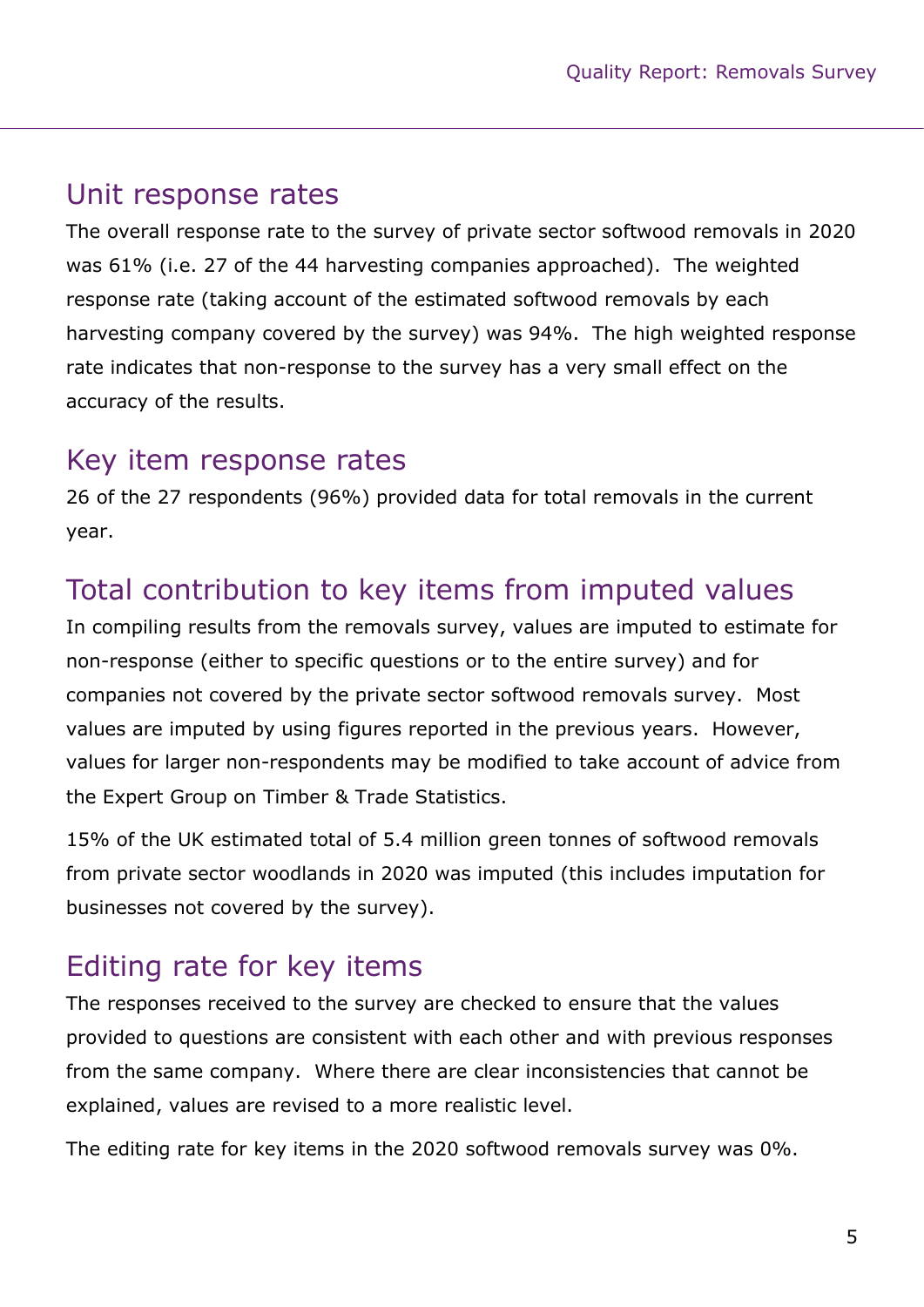#### Unit response rates

The overall response rate to the survey of private sector softwood removals in 2020 was 61% (i.e. 27 of the 44 harvesting companies approached). The weighted response rate (taking account of the estimated softwood removals by each harvesting company covered by the survey) was 94%. The high weighted response rate indicates that non-response to the survey has a very small effect on the accuracy of the results.

#### Key item response rates

26 of the 27 respondents (96%) provided data for total removals in the current year.

#### Total contribution to key items from imputed values

In compiling results from the removals survey, values are imputed to estimate for non-response (either to specific questions or to the entire survey) and for companies not covered by the private sector softwood removals survey. Most values are imputed by using figures reported in the previous years. However, values for larger non-respondents may be modified to take account of advice from the Expert Group on Timber & Trade Statistics.

15% of the UK estimated total of 5.4 million green tonnes of softwood removals from private sector woodlands in 2020 was imputed (this includes imputation for businesses not covered by the survey).

#### Editing rate for key items

The responses received to the survey are checked to ensure that the values provided to questions are consistent with each other and with previous responses from the same company. Where there are clear inconsistencies that cannot be explained, values are revised to a more realistic level.

The editing rate for key items in the 2020 softwood removals survey was 0%.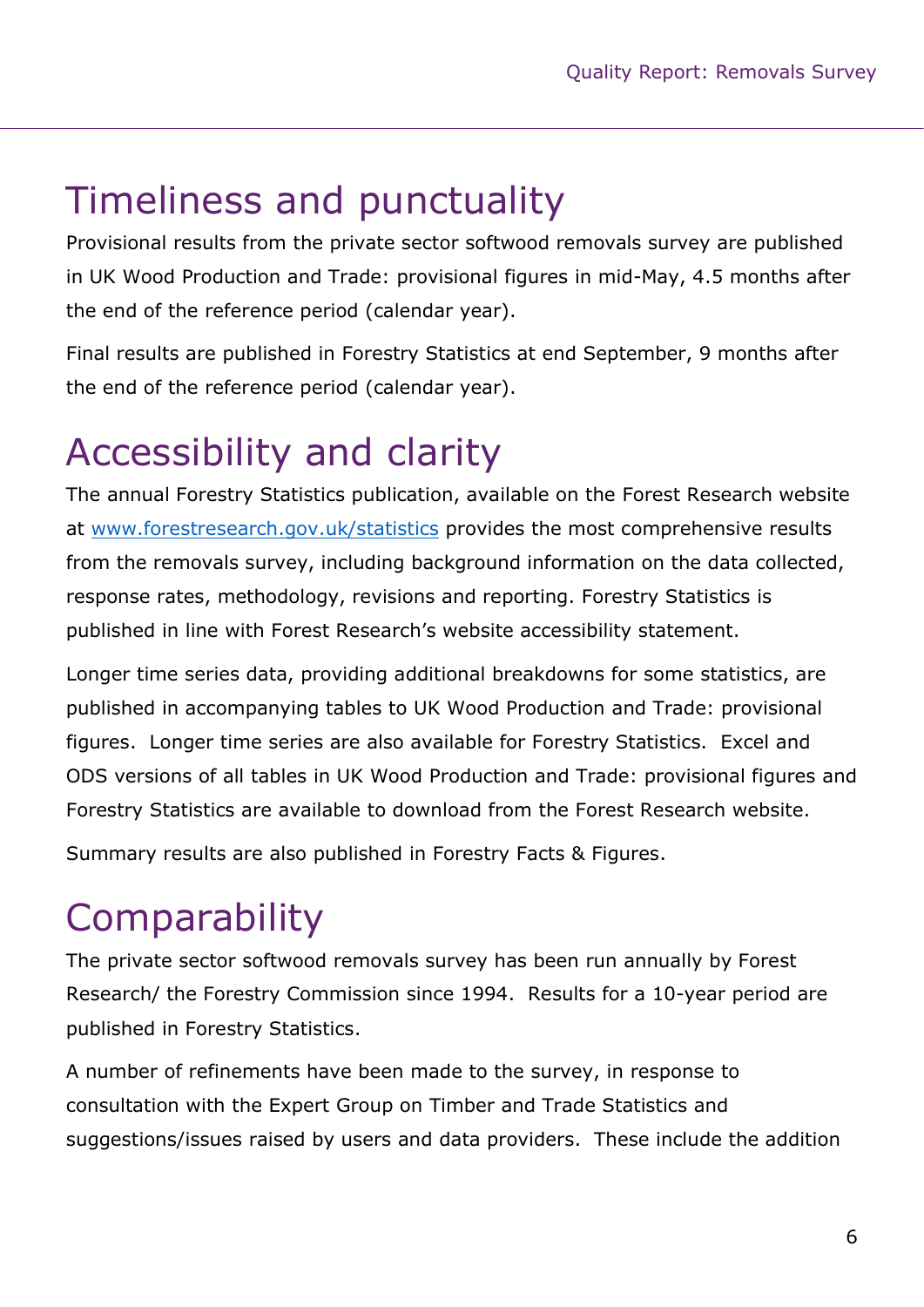### Timeliness and punctuality

Provisional results from the private sector softwood removals survey are published in UK Wood Production and Trade: provisional figures in mid-May, 4.5 months after the end of the reference period (calendar year).

Final results are published in Forestry Statistics at end September, 9 months after the end of the reference period (calendar year).

# Accessibility and clarity

The annual Forestry Statistics publication, available on the Forest Research website at www.forestresearch.gov.uk/statistics provides the most comprehensive results from the removals survey, including background information on the data collected, response rates, methodology, revisions and reporting. Forestry Statistics is published in line with Forest Research's website accessibility statement.

Longer time series data, providing additional breakdowns for some statistics, are published in accompanying tables to UK Wood Production and Trade: provisional figures. Longer time series are also available for Forestry Statistics. Excel and ODS versions of all tables in UK Wood Production and Trade: provisional figures and Forestry Statistics are available to download from the Forest Research website.

Summary results are also published in Forestry Facts & Figures.

### **Comparability**

The private sector softwood removals survey has been run annually by Forest Research/ the Forestry Commission since 1994. Results for a 10-year period are published in Forestry Statistics.

A number of refinements have been made to the survey, in response to consultation with the Expert Group on Timber and Trade Statistics and suggestions/issues raised by users and data providers. These include the addition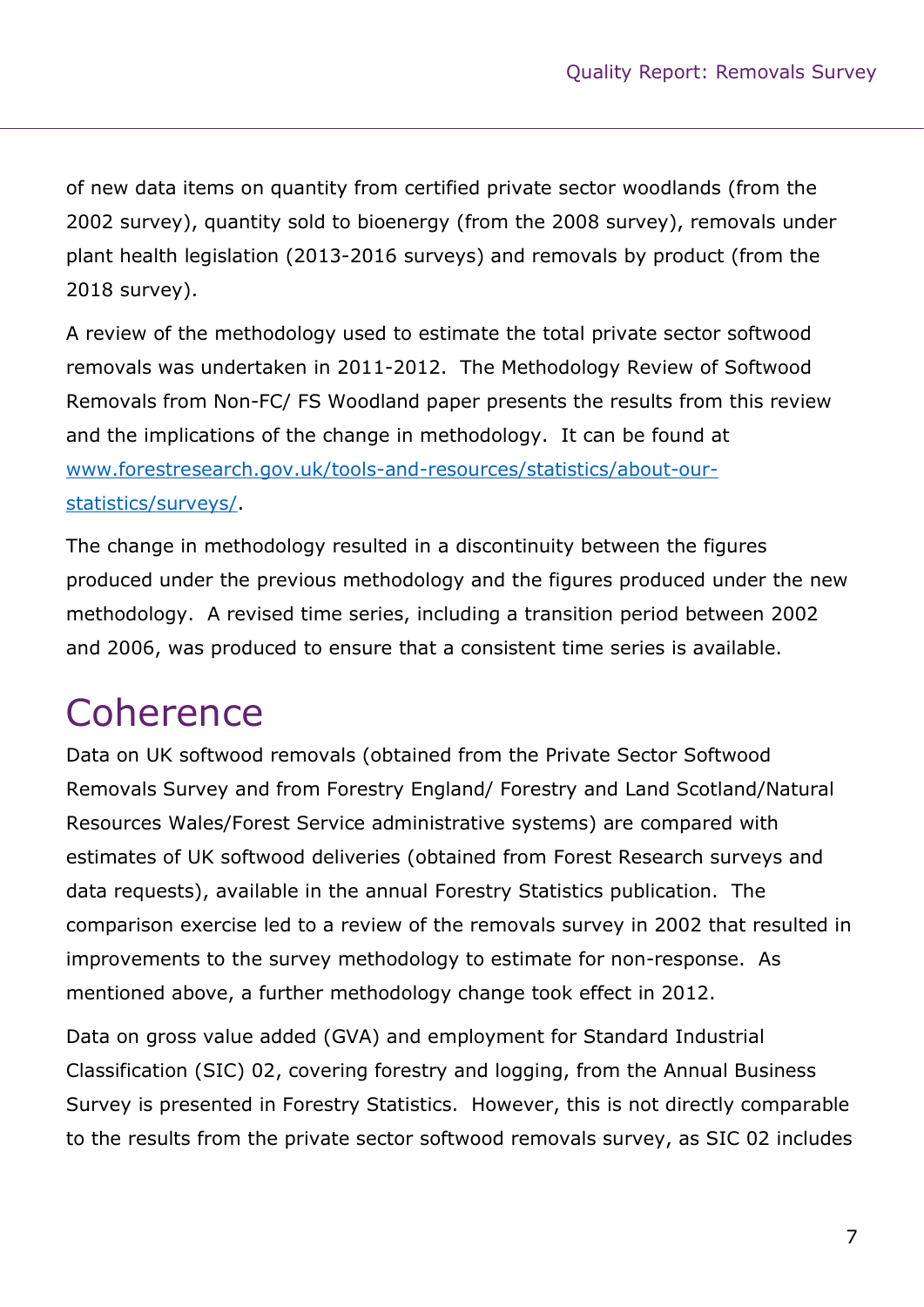of new data items on quantity from certified private sector woodlands (from the 2002 survey), quantity sold to bioenergy (from the 2008 survey), removals under plant health legislation (2013-2016 surveys) and removals by product (from the 2018 survey).

A review of the methodology used to estimate the total private sector softwood removals was undertaken in 2011-2012. The Methodology Review of Softwood Removals from Non-FC/ FS Woodland paper presents the results from this review and the implications of the change in methodology. It can be found at www.forestresearch.gov.uk/tools-and-resources/statistics/about-ourstatistics/surveys/.

The change in methodology resulted in a discontinuity between the figures produced under the previous methodology and the figures produced under the new methodology. A revised time series, including a transition period between 2002 and 2006, was produced to ensure that a consistent time series is available.

### **Coherence**

Data on UK softwood removals (obtained from the Private Sector Softwood Removals Survey and from Forestry England/ Forestry and Land Scotland/Natural Resources Wales/Forest Service administrative systems) are compared with estimates of UK softwood deliveries (obtained from Forest Research surveys and data requests), available in the annual Forestry Statistics publication. The comparison exercise led to a review of the removals survey in 2002 that resulted in improvements to the survey methodology to estimate for non-response. As mentioned above, a further methodology change took effect in 2012.

Data on gross value added (GVA) and employment for Standard Industrial Classification (SIC) 02, covering forestry and logging, from the Annual Business Survey is presented in Forestry Statistics. However, this is not directly comparable to the results from the private sector softwood removals survey, as SIC 02 includes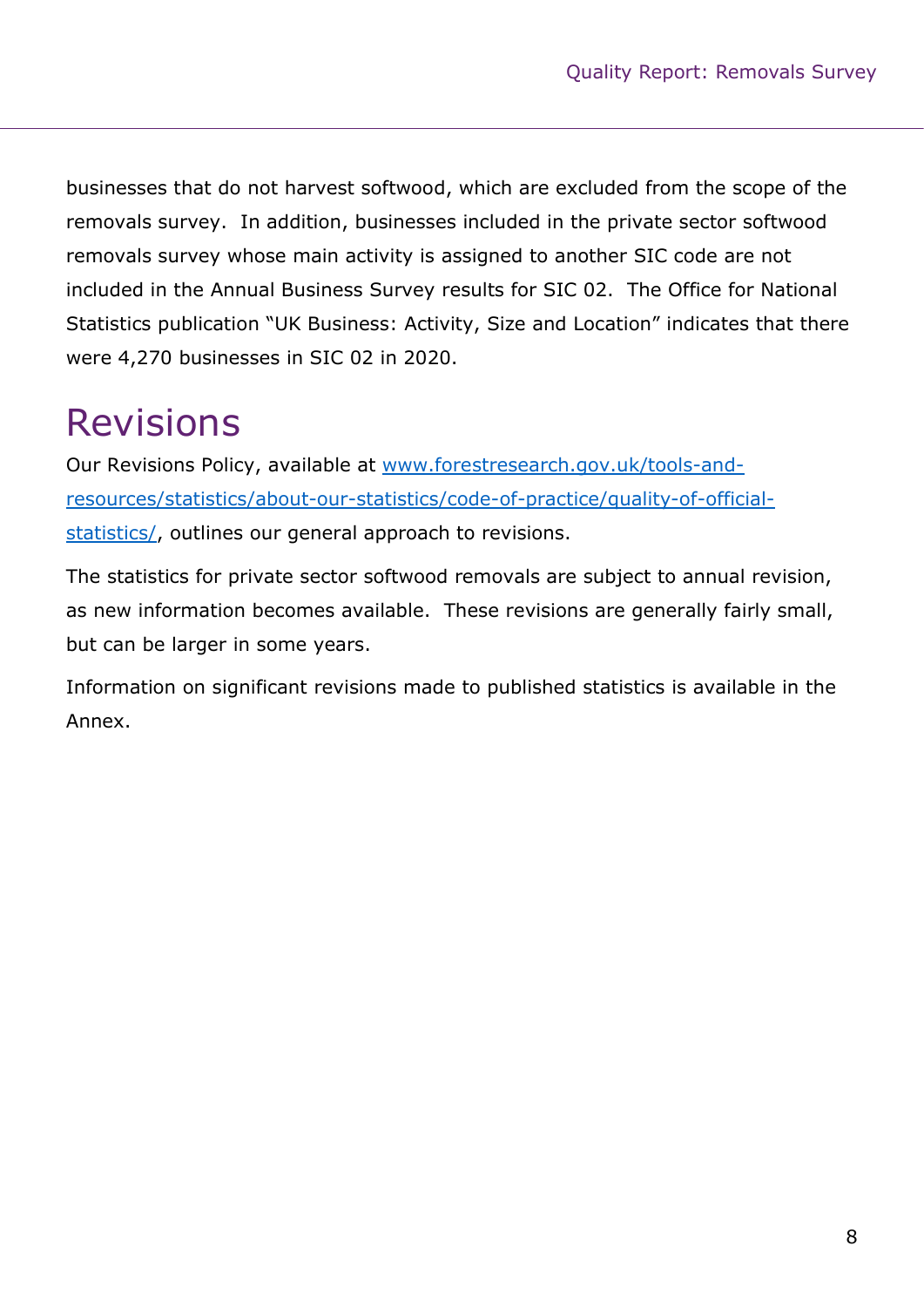businesses that do not harvest softwood, which are excluded from the scope of the removals survey. In addition, businesses included in the private sector softwood removals survey whose main activity is assigned to another SIC code are not included in the Annual Business Survey results for SIC 02. The Office for National Statistics publication "UK Business: Activity, Size and Location" indicates that there were 4,270 businesses in SIC 02 in 2020.

# Revisions

Our Revisions Policy, available at www.forestresearch.gov.uk/tools-andresources/statistics/about-our-statistics/code-of-practice/quality-of-officialstatistics/, outlines our general approach to revisions.

The statistics for private sector softwood removals are subject to annual revision, as new information becomes available. These revisions are generally fairly small, but can be larger in some years.

Information on significant revisions made to published statistics is available in the Annex.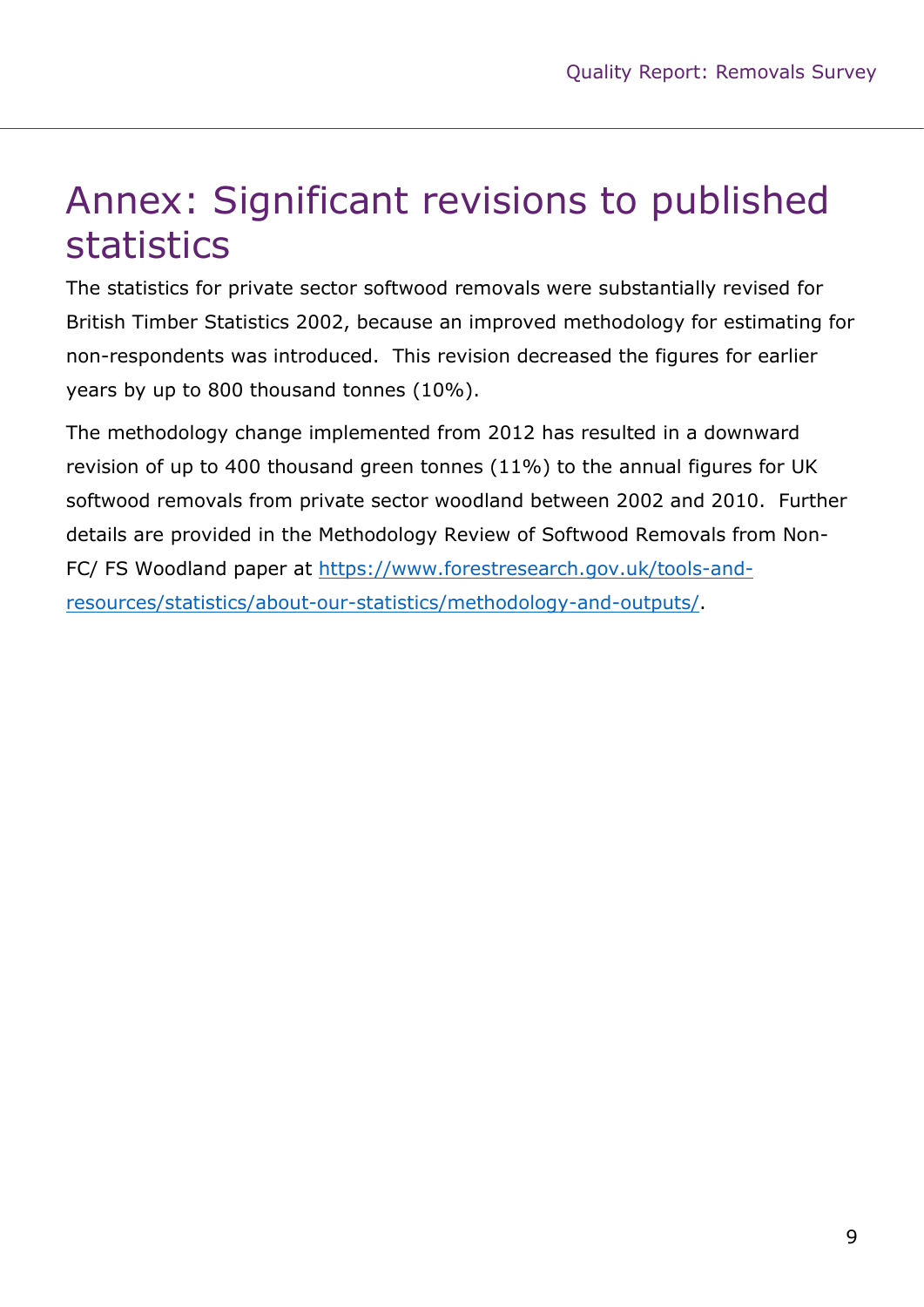#### Annex: Significant revisions to published statistics

The statistics for private sector softwood removals were substantially revised for British Timber Statistics 2002, because an improved methodology for estimating for non-respondents was introduced. This revision decreased the figures for earlier years by up to 800 thousand tonnes (10%).

The methodology change implemented from 2012 has resulted in a downward revision of up to 400 thousand green tonnes (11%) to the annual figures for UK softwood removals from private sector woodland between 2002 and 2010. Further details are provided in the Methodology Review of Softwood Removals from Non-FC/ FS Woodland paper at https://www.forestresearch.gov.uk/tools-andresources/statistics/about-our-statistics/methodology-and-outputs/.